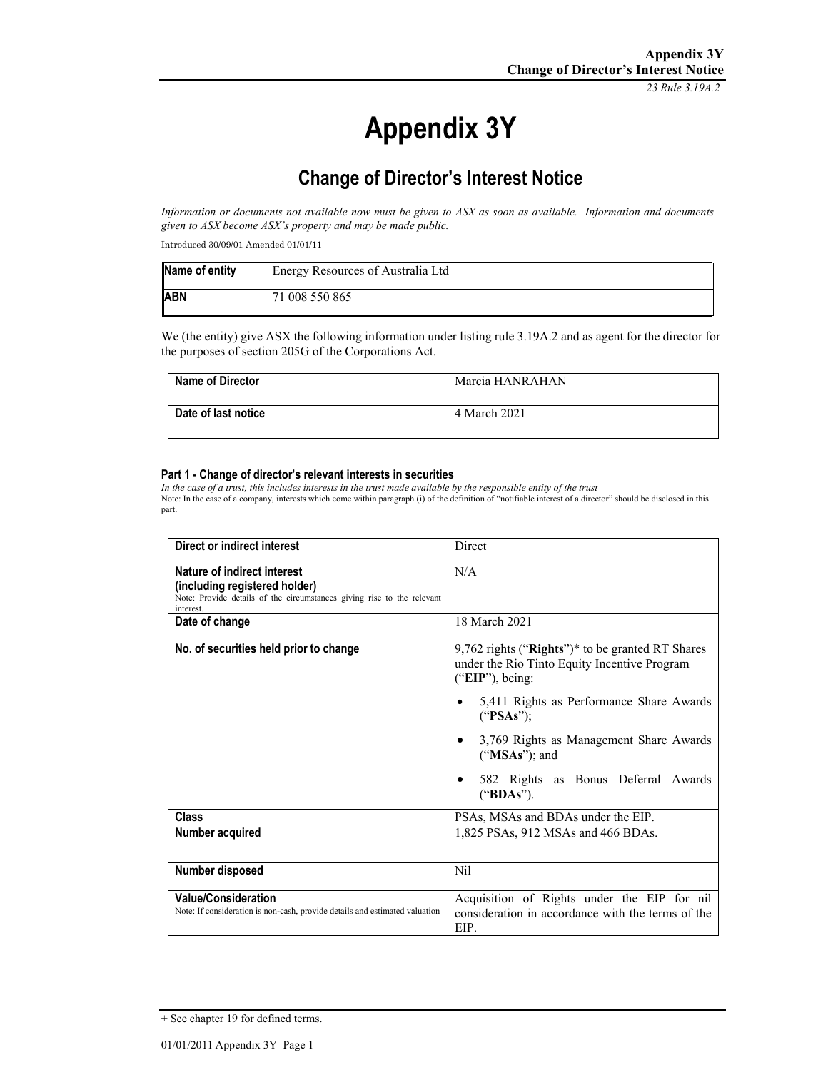*23 Rule 3.19A.2*

# **Appendix 3Y**

# **Change of Director's Interest Notice**

*Information or documents not available now must be given to ASX as soon as available. Information and documents given to ASX become ASX's property and may be made public.* 

Introduced 30/09/01 Amended 01/01/11

| Name of entity | Energy Resources of Australia Ltd |
|----------------|-----------------------------------|
| <b>ABN</b>     | 71 008 550 865                    |

We (the entity) give ASX the following information under listing rule 3.19A.2 and as agent for the director for the purposes of section 205G of the Corporations Act.

| <b>Name of Director</b> | Marcia HANRAHAN |
|-------------------------|-----------------|
| Date of last notice     | 4 March 2021    |

#### **Part 1 - Change of director's relevant interests in securities**

*In the case of a trust, this includes interests in the trust made available by the responsible entity of the trust* Note: In the case of a company, interests which come within paragraph (i) of the definition of "notifiable interest of a director" should be disclosed in this part.

| Direct or indirect interest                                                                                                                         | Direct                                                                                                                                                                                                                                                                                            |
|-----------------------------------------------------------------------------------------------------------------------------------------------------|---------------------------------------------------------------------------------------------------------------------------------------------------------------------------------------------------------------------------------------------------------------------------------------------------|
| Nature of indirect interest<br>(including registered holder)<br>Note: Provide details of the circumstances giving rise to the relevant<br>interest. | N/A                                                                                                                                                                                                                                                                                               |
| Date of change                                                                                                                                      | 18 March 2021                                                                                                                                                                                                                                                                                     |
| No. of securities held prior to change                                                                                                              | $9,762$ rights ("Rights")* to be granted RT Shares<br>under the Rio Tinto Equity Incentive Program<br>$("EIP")$ , being:<br>5,411 Rights as Performance Share Awards<br>("PSAs");<br>3,769 Rights as Management Share Awards<br>("MSAs"); and<br>582 Rights as Bonus Deferral Awards<br>("BDAs"). |
| Class                                                                                                                                               | PSAs, MSAs and BDAs under the EIP.                                                                                                                                                                                                                                                                |
| Number acquired                                                                                                                                     | 1,825 PSAs, 912 MSAs and 466 BDAs.                                                                                                                                                                                                                                                                |
| Number disposed                                                                                                                                     | Nil                                                                                                                                                                                                                                                                                               |
| <b>Value/Consideration</b><br>Note: If consideration is non-cash, provide details and estimated valuation                                           | Acquisition of Rights under the EIP for nil<br>consideration in accordance with the terms of the<br>EIP.                                                                                                                                                                                          |

<sup>+</sup> See chapter 19 for defined terms.